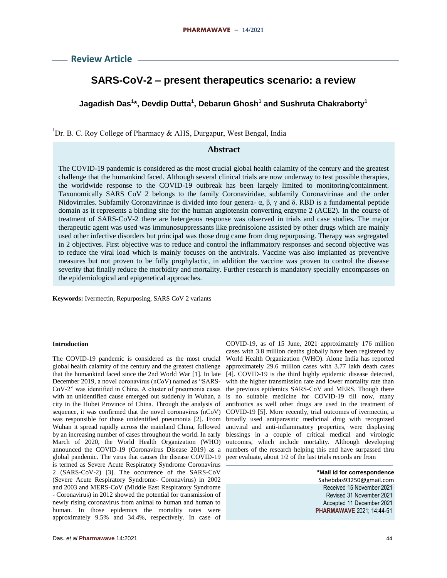**Review Article**

# **SARS-CoV-2 – present therapeutics scenario: a review**

## **Jagadish Das<sup>1</sup> \*, Devdip Dutta<sup>1</sup> , Debarun Ghosh<sup>1</sup> and Sushruta Chakraborty<sup>1</sup>**

1 Dr. B. C. Roy College of Pharmacy & AHS, Durgapur, West Bengal, India

## **Abstract**

The COVID-19 pandemic is considered as the most crucial global health calamity of the century and the greatest challenge that the humankind faced. Although several clinical trials are now underway to test possible therapies, the worldwide response to the COVID-19 outbreak has been largely limited to monitoring/containment. Taxonomically SARS CoV 2 belongs to the family Coronaviridae, subfamily Coronavirinae and the order Nidovirrales. Subfamily Coronavirinae is divided into four genera- α, β, γ and δ. RBD is a fundamental peptide domain as it represents a binding site for the human angiotensin converting enzyme 2 (ACE2). In the course of treatment of SARS-CoV-2 there are hetergeous response was observed in trials and case studies. The major therapeutic agent was used was immunosuppressants like prednisolone assisted by other drugs which are mainly used other infective disorders but principal was those drug came from drug repurposing. Therapy was segregated in 2 objectives. First objective was to reduce and control the inflammatory responses and second objective was to reduce the viral load which is mainly focuses on the antivirals. Vaccine was also implanted as preventive measures but not proven to be fully prophylactic, in addition the vaccine was proven to control the disease severity that finally reduce the morbidity and mortality. Further research is mandatory specially encompasses on the epidemiological and epigenetical approaches.

**Keywords:** Ivermectin, Repurposing, SARS CoV 2 variants

### **Introduction**

The COVID-19 pandemic is considered as the most crucial global health calamity of the century and the greatest challenge that the humankind faced since the 2nd World War [1]. In late December 2019, a novel coronavirus (nCoV) named as "SARS-CoV-2" was identified in China. A cluster of pneumonia cases with an unidentified cause emerged out suddenly in Wuhan, a city in the Hubei Province of China. Through the analysis of sequence, it was confirmed that the novel coronavirus (nCoV) was responsible for those unidentified pneumonia [2]. From Wuhan it spread rapidly across the mainland China, followed by an increasing number of cases throughout the world. In early March of 2020, the World Health Organization (WHO) announced the COVID-19 (Coronavirus Disease 2019) as a global pandemic. The virus that causes the disease COVID-19 is termed as Severe Acute Respiratory Syndrome Coronavirus 2 (SARS-CoV-2) [3]. The occurrence of the SARS-CoV (Severe Acute Respiratory Syndrome- Coronavirus) in 2002 and 2003 and MERS-CoV (Middle East Respiratory Syndrome - Coronavirus) in 2012 showed the potential for transmission of newly rising coronavirus from animal to human and human to human. In those epidemics the mortality rates were approximately 9.5% and 34.4%, respectively. In case of

COVID-19, as of 15 June, 2021 approximately 176 million cases with 3.8 million deaths globally have been registered by World Health Organization (WHO). Alone India has reported approximately 29.6 million cases with 3.77 lakh death cases [4]. COVID-19 is the third highly epidemic disease detected, with the higher transmission rate and lower mortality rate than the previous epidemics SARS-CoV and MERS. Though there is no suitable medicine for COVID-19 till now, many antibiotics as well other drugs are used in the treatment of COVID-19 [5]. More recently, trial outcomes of ivermectin, a broadly used antiparasitic medicinal drug with recognized antiviral and anti-inflammatory properties, were displaying blessings in a couple of critical medical and virologic outcomes, which include mortality. Although developing numbers of the research helping this end have surpassed thru peer evaluate, about 1/2 of the last trials records are from

> **\*Mail id for correspondence** Sahebdas93250@gmail.com Received 15 November 2021 Revised 31 November 2021 Accepted 11 December 2021 **PHARMAWAVE** 2021; 14:44-51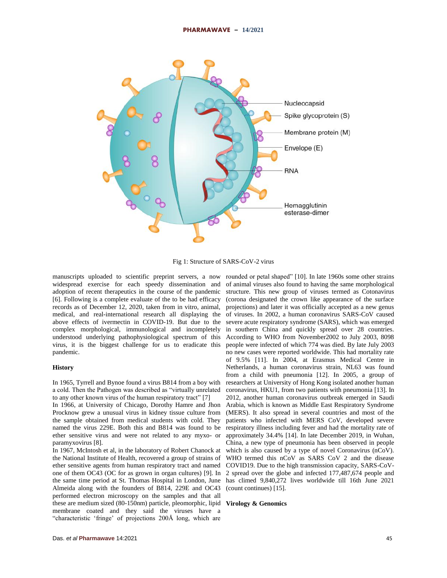

Fig 1: Structure of SARS-CoV-2 virus

manuscripts uploaded to scientific preprint servers, a now widespread exercise for each speedy dissemination and adoption of recent therapeutics in the course of the pandemic [6]. Following is a complete evaluate of the to be had efficacy records as of December 12, 2020, taken from in vitro, animal, medical, and real-international research all displaying the above effects of ivermectin in COVID-19. But due to the complex morphological, immunological and incompletely understood underlying pathophysiological spectrum of this virus, it is the biggest challenge for us to eradicate this pandemic.

#### **History**

In 1965, Tyrrell and Bynoe found a virus B814 from a boy with a cold. Then the Pathogen was described as "virtually unrelated to any other known virus of the human respiratory tract" [7]

In 1966, at University of Chicago, Dorothy Hamre and Jhon Procknow grew a unusual virus in kidney tissue culture from the sample obtained from medical students with cold. They named the virus 229E. Both this and B814 was found to be ether sensitive virus and were not related to any myxo- or paramyxovirus [8].

In 1967, McIntosh et al, in the laboratory of Robert Chanock at the National Institute of Health, recovered a group of strains of ether sensitive agents from human respiratory tract and named one of them OC43 (OC for as grown in organ cultures) [9]. In the same time period at St. Thomas Hospital in London, June Almeida along with the founders of B814, 229E and OC43 performed electron microscopy on the samples and that all these are medium sized (80-150nm) particle, pleomorphic, lipid **Virology & Genomics**membrane coated and they said the viruses have a "characteristic 'fringe' of projections 200Å long, which are

rounded or petal shaped" [10]. In late 1960s some other strains of animal viruses also found to having the same morphological structure. This new group of viruses termed as Cotonavirus (corona designated the crown like appearance of the surface projections) and later it was officially accepted as a new genus of viruses. In 2002, a human coronavirus SARS-CoV caused severe acute respiratory syndrome (SARS), which was emerged in southern China and quickly spread over 28 countries. According to WHO from November2002 to July 2003, 8098 people were infected of which 774 was died. By late July 2003 no new cases were reported worldwide. This had mortality rate of 9.5% [11]. In 2004, at Erasmus Medical Centre in Netherlands, a human coronavirus strain, NL63 was found from a child with pneumonia [12]. In 2005, a group of researchers at University of Hong Kong isolated another human coronavirus, HKU1, from two patients with pneumonia [13]. In 2012, another human coronavirus outbreak emerged in Saudi Arabia, which is known as Middle East Respiratory Syndrome (MERS). It also spread in several countries and most of the patients who infected with MERS CoV, developed severe respiratory illness including fever and had the mortality rate of approximately 34.4% [14]. In late December 2019, in Wuhan, China, a new type of pneumonia has been observed in people which is also caused by a type of novel Coronavirus (nCoV). WHO termed this nCoV as SARS CoV 2 and the disease COVID19. Due to the high transmission capacity, SARS-CoV-2 spread over the globe and infected 177,487,674 people and has climed 9,840,272 lives worldwide till 16th June 2021 (count continues) [15].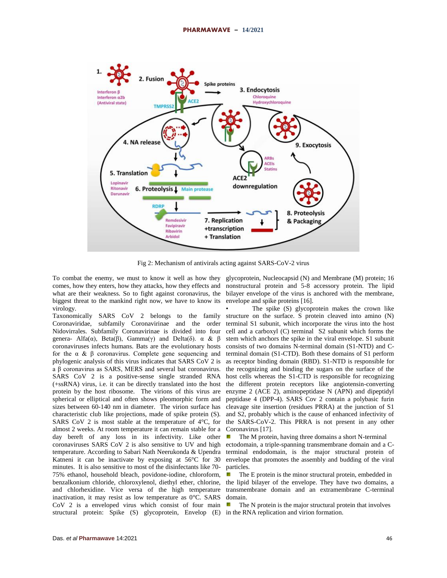

Fig 2: Mechanism of antivirals acting against SARS-CoV-2 virus

biggest threat to the mankind right now, we have to know its virology.

Taxonomically SARS CoV 2 belongs to the family Coronaviridae, subfamily Coronavirinae and the order Nidovirrales. Subfamily Coronavirinae is divided into four genera- Alfa(α), Beta(β), Gamma(γ) and Delta(δ). α & β coronaviruses infects humans. Bats are the evolutionary hosts for the  $\alpha \& \beta$  coronavirus. Complete gene sequencing and phylogenic analysis of this virus indicates that SARS CoV 2 is a β coronavirus as SARS, MERS and several bat coronavirus. SARS CoV 2 is a positive-sense single stranded RNA (+ssRNA) virus, i.e. it can be directly translated into the host protein by the host ribosome. The virions of this virus are spherical or elliptical and often shows pleomorphic form and sizes between 60-140 nm in diameter. The virion surface has characteristic club like projections, made of spike protein (S). SARS CoV 2 is most stable at the temperature of  $4^{\circ}$ C, for almost 2 weeks. At room temperature it can remain stable for a day bereft of any loss in its infectivity. Like other coronaviruses SARS CoV 2 is also sensitive to UV and high temperature. According to Sabari Nath Neerukonda & Upendra Katneni it can be inactivate by exposing at 56°C for 30 minutes. It is also sensitive to most of the disinfectants like 70- 75% ethanol, household bleach, povidone-iodine, chloroform, benzalkonium chloride, chloroxylenol, diethyl ether, chlorine, and chlorhexidine. Vice versa of the high temperature inactivation, it may resist as low temperature as 0°C. SARS CoV 2 is a enveloped virus which consist of four main structural protein: Spike (S) glycoprotein, Envelop (E) in the RNA replication and virion formation.

To combat the enemy, we must to know it well as how they glycoprotein, Nucleocapsid (N) and Membrane (M) protein; 16 comes, how they enters, how they attacks, how they effects and nonstructural protein and 5-8 accessory protein. The lipid what are their weakness. So to fight against coronavirus, the bilayer envelope of the virus is anchored with the membrane, envelope and spike proteins [16].

> The spike (S) glycoprotein makes the crown like structure on the surface. S protein cleaved into amino (N) terminal S1 subunit, which incorporate the virus into the host cell and a carboxyl (C) terminal S2 subunit which forms the stem which anchors the spike in the viral envelope. S1 subunit consists of two domains N-terminal domain (S1-NTD) and Cterminal domain (S1-CTD). Both these domains of S1 perform as receptor binding domain (RBD). S1-NTD is responsible for the recognizing and binding the sugars on the surface of the host cells whereas the S1-CTD is responsible for recognizing the different protein receptors like angiotensin-converting enzyme 2 (ACE 2), aminopeptidase N (APN) and dipeptidyl peptidase 4 (DPP-4). SARS Cov 2 contain a polybasic furin cleavage site insertion (residues PRRA) at the junction of S1 and S2, probably which is the cause of enhanced infectivity of the SARS-CoV-2. This PRRA is not present in any other Coronavirus [17].

> The M protein, having three domains a short N-terminal ectodomain, a triple-spanning transmembrane domain and a Cterminal endodomain, is the major structural protein of envelope that promotes the assembly and budding of the viral particles.

> The E protein is the minor structural protein, embedded in the lipid bilayer of the envelope. They have two domains, a transmembrane domain and an extramembrane C-terminal domain.

ø The N protein is the major structural protein that involves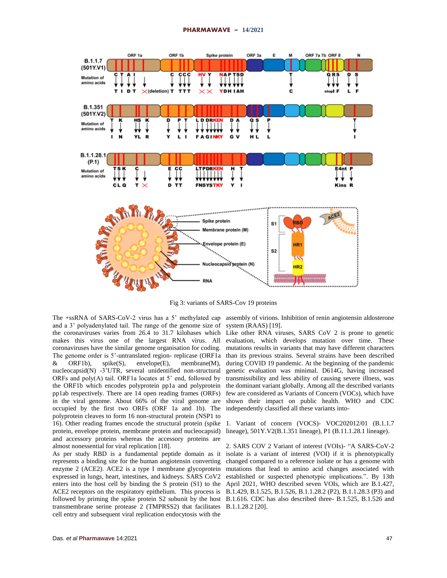

Fig 3: variants of SARS-Cov 19 proteins

and a 3' polyadenylated tail. The range of the genome size of the coronaviruses varies from 26.4 to 31.7 kilobases which Like other RNA viruses, SARS CoV 2 is prone to genetic makes this virus one of the largest RNA virus. All evaluation, which develops mutation over time. These coronaviruses have the similar genome organisation for coding. The genome order is 5'-untranslated region- replicase (ORF1a than its previous strains. Several strains have been described & ORF1b), spike(S), envelope(E), membrane(M), nucleocapsid(N) -3'UTR, several unidentified non-structural ORFs and poly $(A)$  tail. ORF1a locates at 5' end, followed by the ORF1b which encodes polyprotein pp1a and polyprotein pp1ab respectively. There are 14 open reading frames (ORFs) in the viral genome. About 66% of the viral genome are occupied by the first two ORFs (ORF 1a and 1b). The polyprotein cleaves to form 16 non-structural protein (NSP1 to 16). Other reading frames encode the structural protein (spike 1. Variant of concern (VOCS)- VOC202012/01 (B.1.1.7 protein, envelope protein, membrane protein and nucleocapsid) and accessory proteins whereas the accessory proteins are almost nonessential for viral replication [18].

As per study RBD is a fundamental peptide domain as it represents a binding site for the human angiotensin converting enzyme 2 (ACE2). ACE2 is a type I membrane glycoprotein expressed in lungs, heart, intestines, and kidneys. SARS CoV2 enters into the host cell by binding the S protein (S1) to the ACE2 receptors on the respiratory epithelium. This process is followed by priming the spike protein S2 subunit by the host B.1.616. CDC has also described three- B.1.525, B.1.526 and transmembrane serine protease 2 (TMPRSS2) that facilitates B.1.1.28.2 [20].cell entry and subsequent viral replication endocytosis with the

The +ssRNA of SARS-CoV-2 virus has a 5' methylated cap assembly of virions. Inhibition of renin angiotensin aldosterone system (RAAS) [19].

> mutations results in variants that may have different characters during COVID 19 pandemic. At the beginning of the pandemic genetic evaluation was minimal. D614G, having increased transmissibility and less ability of causing severe illness, was the dominant variant globally. Among all the described variants few are considered as Variants of Concern (VOCs), which have shown their impact on public health. WHO and CDC independently classified all these variants into-

> lineage), 501Y.V2(B.1.351 lineage), P1 (B.11.1.28.1 lineage).

2. SARS COV 2 Variant of interest (VOIs)- "A SARS-CoV-2 isolate is a variant of interest (VOI) if it is phenotypically changed compared to a reference isolate or has a genome with mutations that lead to amino acid changes associated with established or suspected phenotypic implications.". By 13th April 2021, WHO described seven VOIs, which are B.1.427, B.1.429, B.1.525, B.1.526, B.1.1.28.2 (P2), B.1.1.28.3 (P3) and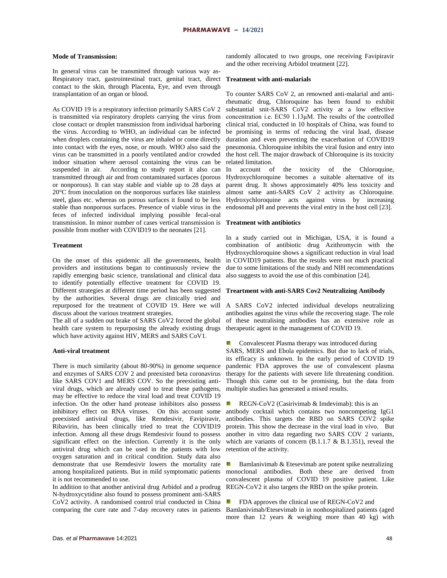### **Mode of Transmission:**

In general virus can be transmitted through various way as-Respiratory tract, gastrointestinal tract, genital tract, direct contact to the skin, through Placenta, Eye, and even through transplantation of an organ or blood.

As COVID 19 is a respiratory infection primarily SARS CoV 2 is transmitted via respiratory droplets carrying the virus from close contact or droplet transmission from individual harboring the virus. According to WHO, an individual can be infected when droplets containing the virus are inhaled or come directly into contact with the eyes, nose, or mouth. WHO also said the virus can be transmitted in a poorly ventilated and/or crowded indoor situation where aerosol containing the virus can be suspended in air. According to study report it also can transmitted through air and from contaminated surfaces (porous or nonporous). It can stay stable and viable up to 28 days at 20°C from inoculation on the nonporous surfaces like stainless steel, glass etc. whereas on porous surfaces it found to be less stable than nonporous surfaces. Presence of viable virus in the feces of infected individual implying possible fecal-oral transmission. In minor number of cases vertical transmission is **Treatment with antibiotics** possible from mother with COVID19 to the neonates [21].

#### **Treatment**

On the onset of this epidemic all the governments, health providers and institutions began to continuously review the rapidly emerging basic science, translational and clinical data to identify potentially effective treatment for COVID 19. Different strategies at different time period has been suggested by the authorities. Several drugs are clinically tried and repurposed for the treatment of COVID 19. Here we will discuss about the various treatment strategies.

The all of a sudden out brake of SARS CoV2 forced the global health care system to repurposing the already existing drugs which have activity against HIV, MERS and SARS CoV1.

#### **Anti-viral treatment**

There is much similarity (about 80-90%) in genome sequence and enzymes of SARS COV 2 and preexisted beta coronavirus like SARS COV1 and MERS COV. So the preexisting antiviral drugs, which are already used to treat these pathogens, may be effective to reduce the viral load and treat COVID 19 infection. On the other hand protease inhibitors also possess inhibitory effect on RNA viruses. On this account some preexisted antiviral drugs, like Remdesivir, Favipiravir, Ribavirin, has been clinically tried to treat the COVID19 infection. Among all these drugs Remdesivir found to possess significant effect on the infection. Currently it is the only antiviral drug which can be used in the patients with low oxygen saturation and in critical condition. Study data also demonstrate that use Remdesivir lowers the mortality rate among hospitalized patients. But in mild symptomatic patients it is not recommended to use.

In addition to that another antiviral drug Arbidol and a prodrug N-hydroxycytidine also found to possess prominent anti-SARS CoV2 activity. A randomised control trial conducted in China comparing the cure rate and 7-day recovery rates in patients

randomly allocated to two groups, one receiving Favipiravir and the other receiving Arbidol treatment [22].

#### **Treatment with anti-malarials**

To counter SARS CoV 2, an renowned anti-malarial and antirheumatic drug, Chloroquine has been found to exhibit substantial snit-SARS CoV2 activity at a low effective concentration i.e. EC50 1.13μM. The results of the controlled clinical trial, conducted in 10 hospitals of China, was found to be promising in terms of reducing the viral load, disease duration and even preventing the exacerbation of COVID19 pneumonia. Chloroquine inhibits the viral fusion and entry into the host cell. The major drawback of Chloroquine is its toxicity related limitation.

In account of the toxicity of the Chloroquine, Hydroxychloroquine becomes a suitable alternative of its parent drug. It shows approximately 40% less toxicity and almost same anti-SARS CoV 2 activity as Chloroquine. Hydroxychloroquine acts against virus by increasing endosomal pH and prevents the viral entry in the host cell [23].

In a study carried out in Michigan, USA, it is found a combination of antibiotic drug Azithromycin with the Hydroxychloroquine shows a significant reduction in viral load in COVID19 patients. But the results were not much practical due to some limitations of the study and NIH recommendations also suggests to avoid the use of this combination [24].

### **Treartment with anti-SARS Cov2 Neutralizing Antibody**

A SARS CoV2 infected individual develops neutralizing antibodies against the virus while the recovering stage. The role of these neutralising antibodies has an extensive role as therapeutic agent in the management of COVID 19.

Convalescent Plasma therapy was introduced during

SARS, MERS and Ebola epidemics. But due to lack of trials, its efficacy is unknown. In the early period of COVID 19 pandemic FDA approves the use of convalescent plasma therapy for the patients with severe life threatening condition. Though this came out to be promising, but the data from multiple studies has generated a mixed results.

gr. REGN-CoV2 (Casirivimab & Imdevimab): this is an antibody cocktail which contains two noncompeting IgG1 antibodies. This targets the RBD on SARS COV2 spike protein. This show the decrease in the viral load in vivo. But another in vitro data regarding two SARS COV 2 variants, which are variants of concern (B.1.1.7 & B.1.351), reveal the retention of the activity.

Bamlanivimab & Etesevimab are potent spike neutralizing monoclonal antibodies. Both these are derived from convalescent plasma of COVID 19 positive patient. Like REGN-CoV2 it also targets the RBD on the spike protein.

FDA approves the clinical use of REGN-CoV2 and gy. Bamlanivimab/Etesevimab in in nonhospitalized patients (aged more than 12 years & weighing more than 40 kg) with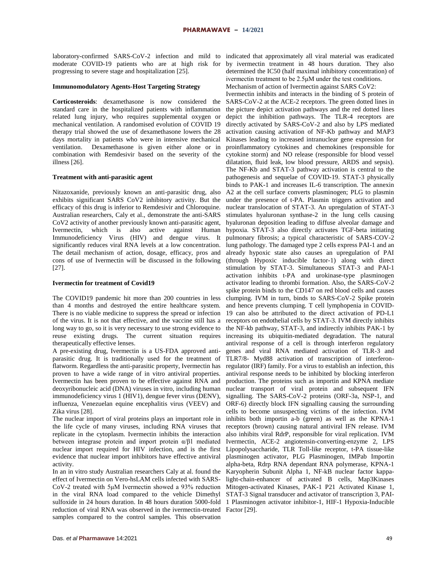laboratory-confirmed SARS-CoV-2 infection and mild to indicated that approximately all viral material was eradicated moderate COVID-19 patients who are at high risk for progressing to severe stage and hospitalization [25].

#### **Immunomodulatory Agents-Host Targeting Strategy**

**Corticosteroids**: dexamethasone is now considered the standard care in the hospitalized patients with inflammation related lung injury, who requires supplemental oxygen or mechanical ventilation. A randomised evolution of COVID 19 therapy trial showed the use of dexamethasone lowers the 28 days mortality in patients who were in intensive mechanical ventilation. Dexamethasone is given either alone or in combination with Remdesivir based on the severity of the illness [26].

### **Treatment with anti-parasitic agent**

Nitazoxanide, previously known an anti-parasitic drug, also exhibits significant SARS CoV2 inhibitory activity. But the efficacy of this drug is inferior to Remdesivir and Chloroquine. Australian researchers, Caly et al., demonstrate the anti-SARS CoV2 activity of another previously known anti-parasitic agent, Ivermectin, which is also active against Human Immunodeficiency Virus (HIV) and dengue virus. It significantly reduces viral RNA levels at a low concentration. The detail mechanism of action, dosage, efficacy, pros and cons of use of Ivermectin will be discussed in the following [27].

#### **Ivermectin for treatment of Covid19**

The COVID19 pandemic hit more than 200 countries in less than 4 months and destroyed the entire healthcare system. There is no viable medicine to suppress the spread or infection of the virus. It is not that effective, and the vaccine still has a long way to go, so it is very necessary to use strong evidence to reuse existing drugs. The current situation requires therapeutically effective lenses.

A pre-existing drug, Ivermectin is a US-FDA approved antiparasitic drug. It is traditionally used for the treatment of flatworm. Regardless the anti-parasitic property, Ivermectin has proven to have a wide range of in vitro antiviral properties. Ivermectin has been proven to be effective against RNA and deoxyribonucleic acid (DNA) viruses in vitro, including human immunodeficiency virus 1 (HIV1), dengue fever virus (DENV), influenza, Venezuelan equine encephalitis virus (VEEV) and ORF-6) directly block IFN signalling causing the surrounding Zika virus [28].

The nuclear import of viral proteins plays an important role in the life cycle of many viruses, including RNA viruses that replicate in the cytoplasm. Ivermectin inhibits the interaction between integrase protein and import protein α/β1 mediated nuclear import required for HIV infection, and is the first evidence that nuclear import inhibitors have effective antiviral activity.

In an in vitro study Australian researchers Caly at al. found the effect of Ivermectin on Vero-hsLAM cells infected with SARS-CoV-2 treated with 5μM Ivermectin showed a 93% reduction in the viral RNA load compared to the vehicle Dimethyl STAT-3 Signal transducer and activator of transcription 3, PAIsulfoxide in 24 hours duration. In 48 hours duration 5000-fold 1 Plasminogen activator inhibitor-1, HIF-1 Hypoxia-Inducible reduction of viral RNA was observed in the ivermectin-treated Factor [29].samples compared to the control samples. This observation

Ivermectin inhibits and interacts in the binding of S protein of

SARS-CoV-2 at the ACE-2 receptors. The green dotted lines in the picture depict activation pathways and the red dotted lines depict the inhibition pathways. The TLR-4 receptors are directly activated by SARS-CoV-2 and also by LPS mediated activation causing activation of NF-Kb pathway and MAP3 Kinases leading to increased intranuclear gene expression for proinflammatory cytokines and chemokines (responsible for cytokine storm) and NO release (responsible for blood vessel dilatation, fluid leak, low blood pressure, ARDS and sepsis). The NF-Kb and STAT-3 pathway activation is central to the pathogenesis and sequelae of COVID-19. STAT-3 physically binds to PAK-1 and increases IL-6 transcription. The annexin A2 at the cell surface converts plasminogen; PLG to plasmin under the presence of t-PA. Plasmin triggers activation and nuclear translocation of STAT-3. An upregulation of STAT-3 stimulates hyaluronan synthase-2 in the lung cells causing hyaluronan deposition leading to diffuse alveolar damage and hypoxia. STAT-3 also directly activates TGF-beta initiating pulmonary fibrosis; a typical characteristic of SARS-COV-2 lung pathology. The damaged type 2 cells express PAI-1 and an already hypoxic state also causes an upregulation of PAI (through Hypoxic inducible factor-1) along with direct stimulation by STAT-3. Simultaneous STAT-3 and PAI-1 activation inhibits t-PA and urokinase-type plasminogen activator leading to thrombi formation. Also, the SARS-CoV-2 spike protein binds to the CD147 on red blood cells and causes clumping. IVM in turn, binds to SARS-CoV-2 Spike protein and hence prevents clumping. T cell lymphopenia in COVID-19 can also be attributed to the direct activation of PD-L1 receptors on endothelial cells by STAT-3. IVM directly inhibits the NF-kb pathway, STAT-3, and indirectly inhibits PAK-1 by increasing its ubiquitin-mediated degradation. The natural antiviral response of a cell is through interferon regulatory genes and viral RNA mediated activation of TLR-3 and TLR7/8- Myd88 activation of transcription of interferonregulator (IRF) family. For a virus to establish an infection, this antiviral response needs to be inhibited by blocking interferon production. The proteins such as importin and KPNA mediate nuclear transport of viral protein and subsequent IFN signalling. The SARS-CoV-2 proteins (ORF-3a, NSP-1, and cells to become unsuspecting victims of the infection. IVM inhibits both importin a-b (green) as well as the KPNA-1 receptors (brown) causing natural antiviral IFN release. IVM also inhibits viral RdrP, responsible for viral replication. IVM Ivermectin, ACE-2 angiotensin-converting-enzyme 2, LPS Lipopolysaccharide, TLR Toll-like receptor, t-PA tissue-like plasminogen activator, PLG Plasminogen, IMPab Importin alpha-beta, Rdrp RNA dependant RNA polymerase, KPNA-1 Karyopherin Subunit Alpha 1, NF-kB nuclear factor kappalight-chain-enhancer of activated B cells, Map3Kinases Mitogen-activated Kinases, PAK-1 P21 Activated Kinase 1,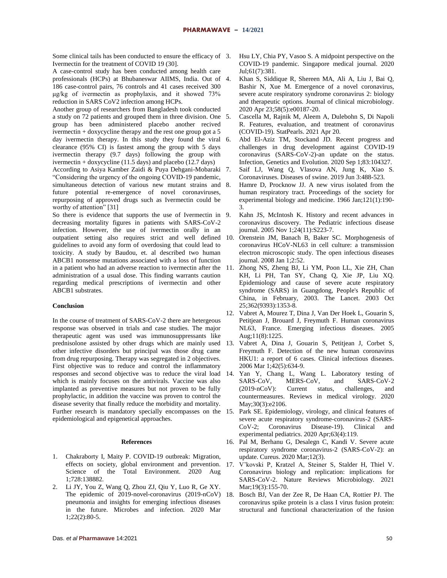Some clinical tails has been conducted to ensure the efficacy of 3. Ivermectin for the treatment of COVID 19 (30].

A case-control study has been conducted among health care professionals (HCPs) at Bhubaneswar AIIMS, India. Out of 186 case-control pairs, 76 controls and 41 cases received 300 μg/kg of ivermectin as prophylaxis, and it showed 73% reduction in SARS CoV2 infection among HCPs.

Another group of researchers from Bangladesh took conducted a study on 72 patients and grouped them in three division. One group has been administered placebo another recived ivermectin  $+$  doxycycline therapy and the rest one group got a 5 day ivermectin therapy. In this study they found the viral 6. clearance (95% CI) is fastest among the group with 5 days ivermectin therapy (9.7 days) following the group with ivermectin + doxycycline (11.5 days) and placebo (12.7 days)

According to Asiya Kamber Zaidi & Puya Dehgani-Mobaraki "Considering the urgency of the ongoing COVID-19 pandemic, simultaneous detection of various new mutant strains and 8. future potential re-emergence of novel coronaviruses, repurposing of approved drugs such as Ivermectin could be worthy of attention" [31]

So there is evidence that supports the use of Ivermectin in 9. decreasing mortality figures in patients with SARS-CoV-2 infection. However, the use of ivermectin orally in an outpatient setting also requires strict and well defined guidelines to avoid any form of overdosing that could lead to toxicity. A study by Baudou, et. al described two human ABCB1 nonsense mutations associated with a loss of function in a patient who had an adverse reaction to ivermectin after the administration of a usual dose. This finding warrants caution regarding medical prescriptions of ivermectin and other ABCB1 substrates.

#### **Conclusion**

In the course of treatment of SARS-CoV-2 there are hetergeous response was observed in trials and case studies. The major therapeutic agent was used was immunosuppressants like prednisolone assisted by other drugs which are mainly used other infective disorders but principal was those drug came from drug repurposing. Therapy was segregated in 2 objectives. First objective was to reduce and control the inflammatory which is mainly focuses on the antivirals. Vaccine was also implanted as preventive measures but not proven to be fully prophylactic, in addition the vaccine was proven to control the disease severity that finally reduce the morbidity and mortality. Further research is mandatory specially encompasses on the 15. Park SE. Epidemiology, virology, and clinical features of epidemiological and epigenetical approaches.

#### **References**

- 1. Chakraborty I, Maity P. COVID-19 outbreak: Migration, effects on society, global environment and prevention. 17. V'kovski P, Kratzel A, Steiner S, Stalder H, Thiel V. Science of the Total Environment. 2020 Aug 1;728:138882.
- 2. Li JY, You Z, Wang Q, Zhou ZJ, Qiu Y, Luo R, Ge XY. The epidemic of 2019-novel-coronavirus (2019-nCoV) 18. pneumonia and insights for emerging infectious diseases in the future. Microbes and infection. 2020 Mar 1;22(2):80-5.
- Hsu LY, Chia PY, Vasoo S. A midpoint perspective on the COVID-19 pandemic. Singapore medical journal. 2020 Jul;61(7):381.
- 4. Khan S, Siddique R, Shereen MA, Ali A, Liu J, Bai Q, Bashir N, Xue M. Emergence of a novel coronavirus, severe acute respiratory syndrome coronavirus 2: biology and therapeutic options. Journal of clinical microbiology. 2020 Apr 23;58(5):e00187-20.
- 5. Cascella M, Rajnik M, Aleem A, Dulebohn S, Di Napoli R. Features, evaluation, and treatment of coronavirus (COVID-19). StatPearls. 2021 Apr 20.
- 6. Abd El-Aziz TM, Stockand JD. Recent progress and challenges in drug development against COVID-19 coronavirus (SARS-CoV-2)-an update on the status. Infection, Genetics and Evolution. 2020 Sep 1;83:104327.
- 7. Saif LJ, Wang Q, Vlasova AN, Jung K, Xiao S. Coronaviruses. Diseases of swine. 2019 Jun 3:488-523.
- Hamre D, Procknow JJ. A new virus isolated from the human respiratory tract. Proceedings of the society for experimental biology and medicine. 1966 Jan;121(1):190- 3.
- Kahn JS, McIntosh K. History and recent advances in coronavirus discovery. The Pediatric infectious disease journal. 2005 Nov 1;24(11):S223-7.
- Orenstein JM, Banach B, Baker SC. Morphogenesis of coronavirus HCoV-NL63 in cell culture: a transmission electron microscopic study. The open infectious diseases journal. 2008 Jan 1;2:52.
- 11. Zhong NS, Zheng BJ, Li YM, Poon LL, Xie ZH, Chan KH, Li PH, Tan SY, Chang Q, Xie JP, Liu XQ. Epidemiology and cause of severe acute respiratory syndrome (SARS) in Guangdong, People's Republic of China, in February, 2003. The Lancet. 2003 Oct 25;362(9393):1353-8.
- 12. Vabret A, Mourez T, Dina J, Van Der Hoek L, Gouarin S, Petitjean J, Brouard J, Freymuth F. Human coronavirus NL63, France. Emerging infectious diseases. 2005 Aug;11(8):1225.
- 13. Vabret A, Dina J, Gouarin S, Petitjean J, Corbet S, Freymuth F. Detection of the new human coronavirus HKU1: a report of 6 cases. Clinical infectious diseases. 2006 Mar 1;42(5):634-9.
- responses and second objective was to reduce the viral load 14. Yan Y, Chang L, Wang L. Laboratory testing of SARS‐CoV, MERS‐CoV, and SARS‐CoV‐2 (2019‐nCoV): Current status, challenges, and countermeasures. Reviews in medical virology. 2020 May;30(3):e2106.
	- severe acute respiratory syndrome-coronavirus-2 (SARS-CoV-2; Coronavirus Disease-19). Clinical and experimental pediatrics. 2020 Apr;63(4):119.
	- 16. Pal M, Berhanu G, Desalegn C, Kandi V. Severe acute respiratory syndrome coronavirus-2 (SARS-CoV-2): an update. Cureus. 2020 Mar;12(3).
	- Coronavirus biology and replication: implications for SARS-CoV-2. Nature Reviews Microbiology. 2021 Mar:19(3):155-70.
	- 18. Bosch BJ, Van der Zee R, De Haan CA, Rottier PJ. The coronavirus spike protein is a class I virus fusion protein: structural and functional characterization of the fusion